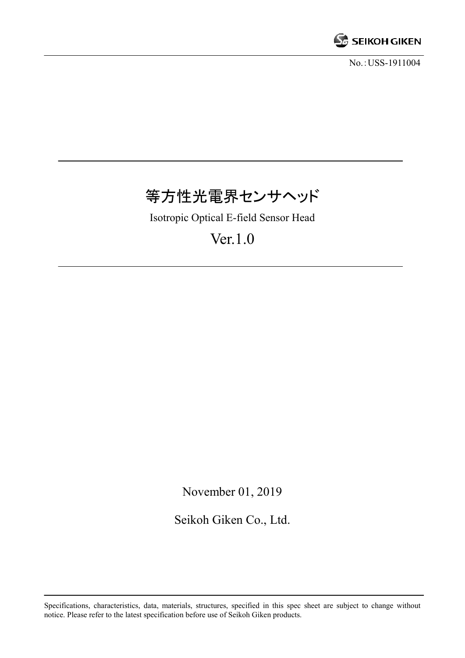

No.:USS-1911004

# 等方性光電界センサヘッド

Isotropic Optical E-field Sensor Head

Ver.1.0

November 01, 2019

Seikoh Giken Co., Ltd.

Specifications, characteristics, data, materials, structures, specified in this spec sheet are subject to change without notice. Please refer to the latest specification before use of Seikoh Giken products.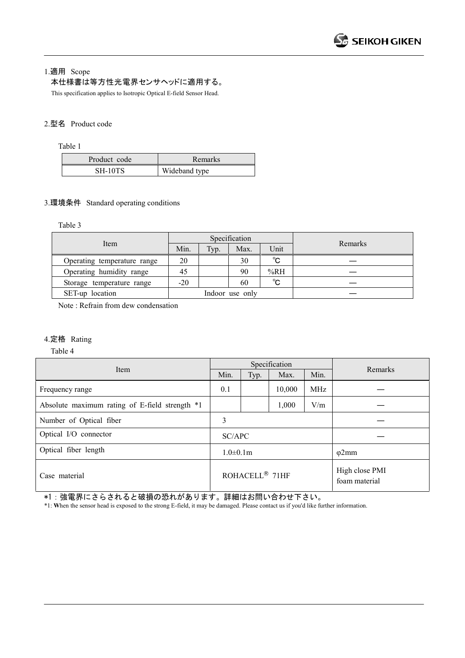#### 1.適用 Scope

#### 本仕様書は等方性光電界センサヘッドに適用する。

This specification applies to Isotropic Optical E-field Sensor Head.

#### 2.型名 Product code

Table 1

| Product code | Remarks       |
|--------------|---------------|
| SH-10TS      | Wideband type |

#### 3.環境条件 Standard operating conditions

Table 3

|                             |                 |      | Specification |              |         |
|-----------------------------|-----------------|------|---------------|--------------|---------|
| Item                        | Min.            | Typ. | Max.          | Unit         | Remarks |
| Operating temperature range | 20              |      | 30            | $^{\circ}$ C |         |
| Operating humidity range    | 45              |      | 90            | %RH          |         |
| Storage temperature range   | $-20$           |      | 60            | $^{\circ}$ C |         |
| SET-up location             | Indoor use only |      |               |              |         |

Note : Refrain from dew condensation

#### 4.定格 Rating

Table 4

| Item                                           |                            |      | Specification |                                 |         |
|------------------------------------------------|----------------------------|------|---------------|---------------------------------|---------|
|                                                |                            | Typ. | Max.          | Min.                            | Remarks |
| Frequency range                                | 0.1                        |      | 10,000        | <b>MHz</b>                      |         |
| Absolute maximum rating of E-field strength *1 |                            |      | 1,000         | V/m                             |         |
| Number of Optical fiber                        | 3                          |      |               |                                 |         |
| Optical I/O connector                          | SC/APC                     |      |               |                                 |         |
| Optical fiber length                           | $1.0\pm0.1m$               |      |               | $\varphi$ 2mm                   |         |
| Case material                                  | ROHACELL <sup>®</sup> 71HF |      |               | High close PMI<br>foam material |         |

\*1:強電界にさらされると破損の恐れがあります。詳細はお問い合わせ下さい。

\*1: **W**hen the sensor head is exposed to the strong E-field, it may be damaged. Please contact us if you'd like further information.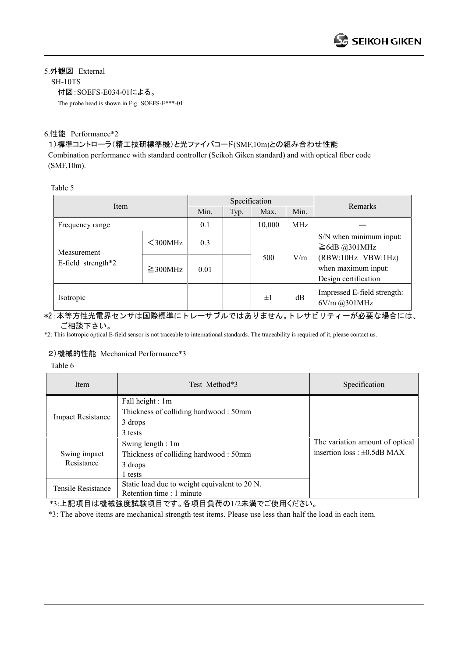# 5.外観図 External

SH-10TS

付図:SOEFS-E034-01による。

The probe head is shown in Fig. SOEFS-E\*\*\*-01

## 6.性能 Performance\*2

## 1)標準コントローラ(精工技研標準機)と光ファイバコード(SMF,10m)との組み合わせ性能

Combination performance with standard controller (Seikoh Giken standard) and with optical fiber code (SMF,10m).

Table 5

| Item                  |               | Specification |      |         |     | Remarks                                                           |
|-----------------------|---------------|---------------|------|---------|-----|-------------------------------------------------------------------|
|                       | Min.          | Typ.          | Max. | Min.    |     |                                                                   |
| Frequency range       |               | 0.1           |      | 10,000  | MHz |                                                                   |
| Measurement           | $300MHz$      | 0.3           |      | 500     |     | S/N when minimum input:<br>$\geq$ 6dB @301MHz                     |
| E-field strength $*2$ | $\geq$ 300MHz | 0.01          |      |         | V/m | (RBW:10Hz VBW:1Hz)<br>when maximum input:<br>Design certification |
| Isotropic             |               |               |      | $\pm 1$ | dB  | Impressed E-field strength:<br>6V/m @301MHz                       |

#### \*2:本等方性光電界センサは国際標準にトレーサブルではありません。トレサビリティーが必要な場合には、 ご相談下さい。

\*2: This Isotropic optical E-field sensor is not traceable to international standards. The traceability is required of it, please contact us.

# 2)機械的性能 Mechanical Performance\*3

Table 6

| Item                                                                                             | Test Method*3                                                                    | Specification                                                        |  |
|--------------------------------------------------------------------------------------------------|----------------------------------------------------------------------------------|----------------------------------------------------------------------|--|
| <b>Impact Resistance</b>                                                                         | Fall height : 1m<br>Thickness of colliding hardwood: 50mm<br>3 drops<br>3 tests  |                                                                      |  |
| Swing impact<br>Resistance                                                                       | Swing length : 1m<br>Thickness of colliding hardwood: 50mm<br>3 drops<br>1 tests | The variation amount of optical<br>insertion loss : $\pm 0.5$ dB MAX |  |
| Static load due to weight equivalent to 20 N.<br>Tensile Resistance<br>Retention time : 1 minute |                                                                                  |                                                                      |  |

\*3:上記項目は機械強度試験項目です。各項目負荷の1/2未満でご使用ください。

\*3: The above items are mechanical strength test items. Please use less than half the load in each item.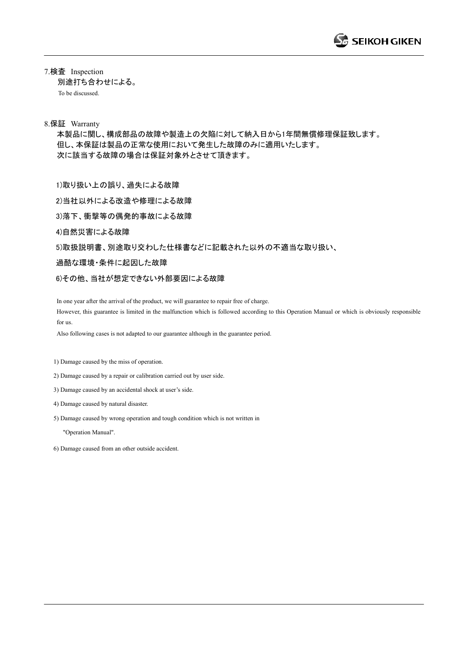7.検査 Inspection 別途打ち合わせによる。 To be discussed.

#### 8.保証 Warranty

本製品に関し、構成部品の故障や製造上の欠陥に対して納入日から1年間無償修理保証致します。 但し、本保証は製品の正常な使用において発生した故障のみに適用いたします。 次に該当する故障の場合は保証対象外とさせて頂きます。

1)取り扱い上の誤り、過失による故障

2)当社以外による改造や修理による故障

3)落下、衝撃等の偶発的事故による故障

4)自然災害による故障

5)取扱説明書、別途取り交わした仕様書などに記載された以外の不適当な取り扱い、

過酷な環境・条件に起因した故障

6)その他、当社が想定できない外部要因による故障

In one year after the arrival of the product, we will guarantee to repair free of charge. However, this guarantee is limited in the malfunction which is followed according to this Operation Manual or which is obviously responsible for us.

Also following cases is not adapted to our guarantee although in the guarantee period.

1) Damage caused by the miss of operation.

2) Damage caused by a repair or calibration carried out by user side.

3) Damage caused by an accidental shock at user's side.

4) Damage caused by natural disaster.

5) Damage caused by wrong operation and tough condition which is not written in

"Operation Manual".

6) Damage caused from an other outside accident.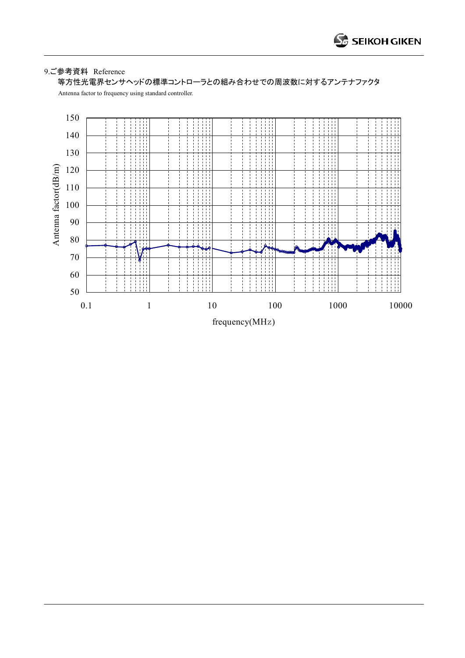## 9.ご参考資料 Reference

等方性光電界センサヘッドの標準コントローラとの組み合わせでの周波数に対するアンテナファクタ

Antenna factor to frequency using standard controller.